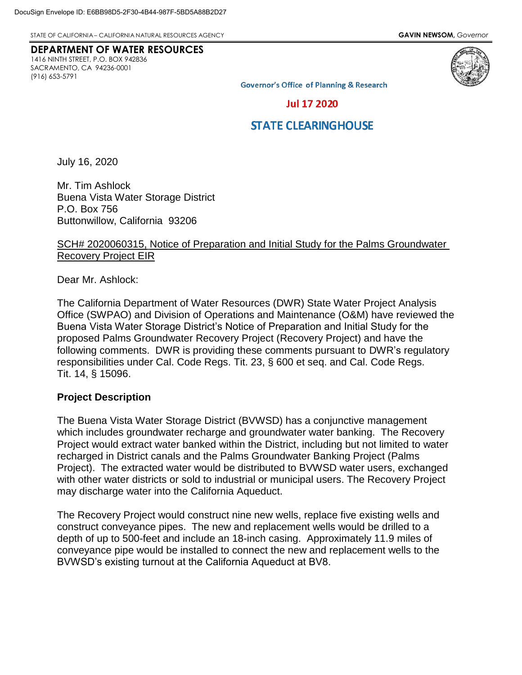STATE OF CALIFORNIA – CALIFORNIA NATURAL RESOURCES AGENCY **GAVIN NEWSOM,** *Governor*

# **DEPARTMENT OF WATER RESOURCES**

1416 NINTH STREET, P.O. BOX 942836 SACRAMENTO, CA 94236-0001 (916) 653-5791



**Governor's Office of Planning & Research** 

#### **Jul 17 2020**

## **STATE CLEARINGHOUSE**

July 16, 2020

Mr. Tim Ashlock Buena Vista Water Storage District P.O. Box 756 Buttonwillow, California 93206

#### SCH# 2020060315, Notice of Preparation and Initial Study for the Palms Groundwater Recovery Project EIR

Dear Mr. Ashlock:

The California Department of Water Resources (DWR) State Water Project Analysis Office (SWPAO) and Division of Operations and Maintenance (O&M) have reviewed the Buena Vista Water Storage District's Notice of Preparation and Initial Study for the proposed Palms Groundwater Recovery Project (Recovery Project) and have the following comments. DWR is providing these comments pursuant to DWR's regulatory responsibilities under Cal. Code Regs. Tit. 23, § 600 et seq. and Cal. Code Regs. Tit. 14, § 15096.

#### **Project Description**

The Buena Vista Water Storage District (BVWSD) has a conjunctive management which includes groundwater recharge and groundwater water banking. The Recovery Project would extract water banked within the District, including but not limited to water recharged in District canals and the Palms Groundwater Banking Project (Palms Project). The extracted water would be distributed to BVWSD water users, exchanged with other water districts or sold to industrial or municipal users. The Recovery Project may discharge water into the California Aqueduct.

The Recovery Project would construct nine new wells, replace five existing wells and construct conveyance pipes. The new and replacement wells would be drilled to a depth of up to 500-feet and include an 18-inch casing. Approximately 11.9 miles of conveyance pipe would be installed to connect the new and replacement wells to the BVWSD's existing turnout at the California Aqueduct at BV8.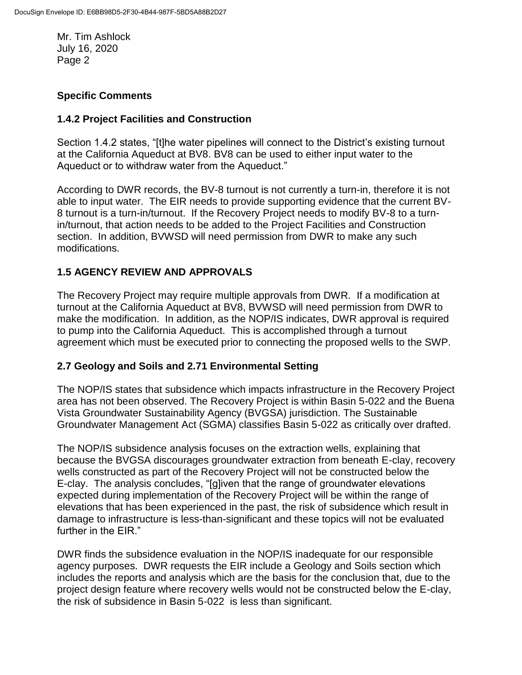Mr. Tim Ashlock July 16, 2020 Page 2

## **Specific Comments**

### **1.4.2 Project Facilities and Construction**

Section 1.4.2 states, "[t]he water pipelines will connect to the District's existing turnout at the California Aqueduct at BV8. BV8 can be used to either input water to the Aqueduct or to withdraw water from the Aqueduct."

According to DWR records, the BV-8 turnout is not currently a turn-in, therefore it is not able to input water. The EIR needs to provide supporting evidence that the current BV-8 turnout is a turn-in/turnout. If the Recovery Project needs to modify BV-8 to a turnin/turnout, that action needs to be added to the Project Facilities and Construction section. In addition, BVWSD will need permission from DWR to make any such modifications.

## **1.5 AGENCY REVIEW AND APPROVALS**

The Recovery Project may require multiple approvals from DWR. If a modification at turnout at the California Aqueduct at BV8, BVWSD will need permission from DWR to make the modification. In addition, as the NOP/IS indicates, DWR approval is required to pump into the California Aqueduct. This is accomplished through a turnout agreement which must be executed prior to connecting the proposed wells to the SWP.

### **2.7 Geology and Soils and 2.71 Environmental Setting**

The NOP/IS states that subsidence which impacts infrastructure in the Recovery Project area has not been observed. The Recovery Project is within Basin 5-022 and the Buena Vista Groundwater Sustainability Agency (BVGSA) jurisdiction. The Sustainable Groundwater Management Act (SGMA) classifies Basin 5-022 as critically over drafted.

The NOP/IS subsidence analysis focuses on the extraction wells, explaining that because the BVGSA discourages groundwater extraction from beneath E-clay, recovery wells constructed as part of the Recovery Project will not be constructed below the E-clay. The analysis concludes, "[g]iven that the range of groundwater elevations expected during implementation of the Recovery Project will be within the range of elevations that has been experienced in the past, the risk of subsidence which result in damage to infrastructure is less-than-significant and these topics will not be evaluated further in the EIR."

DWR finds the subsidence evaluation in the NOP/IS inadequate for our responsible agency purposes. DWR requests the EIR include a Geology and Soils section which includes the reports and analysis which are the basis for the conclusion that, due to the project design feature where recovery wells would not be constructed below the E-clay, the risk of subsidence in Basin 5-022 is less than significant.